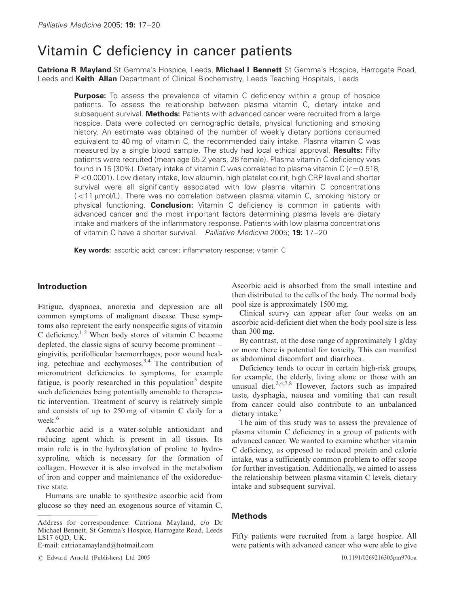# Vitamin C deficiency in cancer patients

Catriona R Mayland St Gemma's Hospice, Leeds, Michael I Bennett St Gemma's Hospice, Harrogate Road, Leeds and Keith Allan Department of Clinical Biochemistry, Leeds Teaching Hospitals, Leeds

**Purpose:** To assess the prevalence of vitamin C deficiency within a group of hospice patients. To assess the relationship between plasma vitamin C, dietary intake and subsequent survival. Methods: Patients with advanced cancer were recruited from a large hospice. Data were collected on demographic details, physical functioning and smoking history. An estimate was obtained of the number of weekly dietary portions consumed equivalent to 40 mg of vitamin C, the recommended daily intake. Plasma vitamin C was measured by a single blood sample. The study had local ethical approval. Results: Fifty patients were recruited (mean age 65.2 years, 28 female). Plasma vitamin C deficiency was found in 15 (30%). Dietary intake of vitamin C was correlated to plasma vitamin C ( $r = 0.518$ , P < 0.0001). Low dietary intake, low albumin, high platelet count, high CRP level and shorter survival were all significantly associated with low plasma vitamin C concentrations (<11 µmol/L). There was no correlation between plasma vitamin C, smoking history or physical functioning. Conclusion: Vitamin C deficiency is common in patients with advanced cancer and the most important factors determining plasma levels are dietary intake and markers of the inflammatory response. Patients with low plasma concentrations of vitamin C have a shorter survival. Palliative Medicine 2005: 19: 17-20

Key words: ascorbic acid; cancer; inflammatory response; vitamin C

# **Introduction**

Fatigue, dyspnoea, anorexia and depression are all common symptoms of malignant disease. These symptoms also represent the early nonspecific signs of vitamin C deficiency.<sup>1,2</sup> When body stores of vitamin C become depleted, the classic signs of scurvy become prominent  $$ gingivitis, perifollicular haemorrhages, poor wound healing, petechiae and ecchymoses.<sup>3,4</sup> The contribution of micronutrient deficiencies to symptoms, for example fatigue, is poorly researched in this population<sup>5</sup> despite such deficiencies being potentially amenable to therapeutic intervention. Treatment of scurvy is relatively simple and consists of up to 250 mg of vitamin C daily for a week.<sup>6</sup>

Ascorbic acid is a water-soluble antioxidant and reducing agent which is present in all tissues. Its main role is in the hydroxylation of proline to hydroxyproline, which is necessary for the formation of collagen. However it is also involved in the metabolism of iron and copper and maintenance of the oxidoreductive state.

Humans are unable to synthesize ascorbic acid from glucose so they need an exogenous source of vitamin C.

E-mail: catrionamayland@hotmail.com

Ascorbic acid is absorbed from the small intestine and then distributed to the cells of the body. The normal body pool size is approximately 1500 mg.

Clinical scurvy can appear after four weeks on an ascorbic acid-deficient diet when the body pool size is less than  $300$  mg.

By contrast, at the dose range of approximately 1 g/day or more there is potential for toxicity. This can manifest as abdominal discomfort and diarrhoea.

Deficiency tends to occur in certain high-risk groups, for example, the elderly, living alone or those with an unusual diet.<sup>2,4,7,8</sup> However, factors such as impaired taste, dysphagia, nausea and vomiting that can result from cancer could also contribute to an unbalanced dietary intake.<sup>7</sup>

The aim of this study was to assess the prevalence of plasma vitamin C deficiency in a group of patients with advanced cancer. We wanted to examine whether vitamin C deficiency, as opposed to reduced protein and calorie intake, was a sufficiently common problem to offer scope for further investigation. Additionally, we aimed to assess the relationship between plasma vitamin C levels, dietary intake and subsequent survival.

## **Methods**

Fifty patients were recruited from a large hospice. All were patients with advanced cancer who were able to give

Address for correspondence: Catriona Mayland, c/o Dr Michael Bennett, St Gemma's Hospice, Harrogate Road, Leeds LS17 6QD, UK.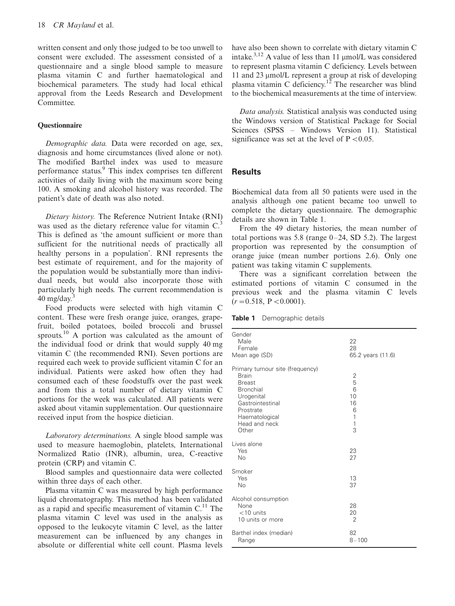written consent and only those judged to be too unwell to consent were excluded. The assessment consisted of a questionnaire and a single blood sample to measure plasma vitamin C and further haematological and biochemical parameters. The study had local ethical approval from the Leeds Research and Development Committee.

#### **Questionnaire**

Demographic data. Data were recorded on age, sex, diagnosis and home circumstances (lived alone or not). The modified Barthel index was used to measure performance status.<sup>9</sup> This index comprises ten different activities of daily living with the maximum score being 100. A smoking and alcohol history was recorded. The patient's date of death was also noted.

Dietary history. The Reference Nutrient Intake (RNI) was used as the dietary reference value for vitamin  $C<sup>3</sup>$ This is defined as 'the amount sufficient or more than sufficient for the nutritional needs of practically all healthy persons in a population'. RNI represents the best estimate of requirement, and for the majority of the population would be substantially more than individual needs, but would also incorporate those with particularly high needs. The current recommendation is  $40 \text{ mg/day}^3$ 

Food products were selected with high vitamin C content. These were fresh orange juice, oranges, grapefruit, boiled potatoes, boiled broccoli and brussel sprouts.<sup>10</sup> A portion was calculated as the amount of the individual food or drink that would supply 40 mg vitamin C (the recommended RNI). Seven portions are required each week to provide sufficient vitamin C for an individual. Patients were asked how often they had consumed each of these foodstuffs over the past week and from this a total number of dietary vitamin C portions for the week was calculated. All patients were asked about vitamin supplementation. Our questionnaire received input from the hospice dietician.

Laboratory determinations. A single blood sample was used to measure haemoglobin, platelets, International Normalized Ratio (INR), albumin, urea, C-reactive protein (CRP) and vitamin C.

Blood samples and questionnaire data were collected within three days of each other.

Plasma vitamin C was measured by high performance liquid chromatography. This method has been validated as a rapid and specific measurement of vitamin C.<sup>11</sup> The plasma vitamin C level was used in the analysis as opposed to the leukocyte vitamin C level, as the latter measurement can be influenced by any changes in absolute or differential white cell count. Plasma levels have also been shown to correlate with dietary vitamin C intake.<sup>3,12</sup> A value of less than 11  $\mu$ mol/L was considered to represent plasma vitamin C deficiency. Levels between 11 and 23 umol/L represent a group at risk of developing plasma vitamin C deficiency.<sup>12</sup> The researcher was blind to the biochemical measurements at the time of interview

Data analysis. Statistical analysis was conducted using the Windows version of Statistical Package for Social Sciences (SPSS – Windows Version 11). Statistical significance was set at the level of  $P < 0.05$ .

## **Results**

Biochemical data from all 50 patients were used in the analysis although one patient became too unwell to complete the dietary questionnaire. The demographic details are shown in Table 1.

From the 49 dietary histories, the mean number of total portions was 5.8 (range  $0-24$ , SD 5.2). The largest proportion was represented by the consumption of orange juice (mean number portions 2.6). Only one patient was taking vitamin C supplements.

There was a significant correlation between the estimated portions of vitamin C consumed in the previous week and the plasma vitamin C levels  $(r=0.518, P<0.0001).$ 

Table 1 Demographic details

| Gender<br>Male<br>Female<br>Mean age (SD)                                                                                                                                       | 22<br>28<br>65.2 years (11.6)               |
|---------------------------------------------------------------------------------------------------------------------------------------------------------------------------------|---------------------------------------------|
| Primary tumour site (frequency)<br><b>Brain</b><br><b>Breast</b><br><b>Bronchial</b><br>Urogenital<br>Gastrointestinal<br>Prostrate<br>Haematological<br>Head and neck<br>Other | 2<br>5<br>6<br>10<br>16<br>6<br>1<br>1<br>3 |
| Lives alone<br>Yes<br>No                                                                                                                                                        | 23<br>27                                    |
| Smoker<br>Yes<br>No                                                                                                                                                             | 13<br>37                                    |
| Alcohol consumption<br>None<br>$<$ 10 units<br>10 units or more                                                                                                                 | 28<br>20<br>$\overline{2}$                  |
| Barthel index (median)<br>Range                                                                                                                                                 | 82<br>$8 - 100$                             |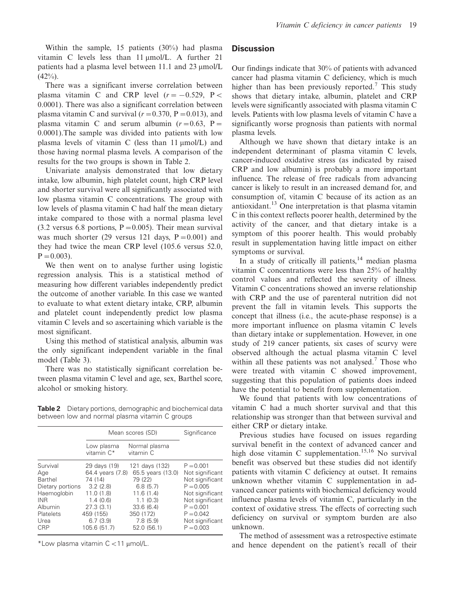Within the sample, 15 patients  $(30\%)$  had plasma vitamin C levels less than 11 µmol/L. A further 21 patients had a plasma level between 11.1 and 23 umol/L  $(42\%)$ .

There was a significant inverse correlation between plasma vitamin C and CRP level  $(r = -0.529, P <$ 0.0001). There was also a significant correlation between plasma vitamin C and survival  $(r = 0.370, P = 0.013)$ , and plasma vitamin C and serum albumin  $(r=0.63, P=$ 0.0001). The sample was divided into patients with low plasma levels of vitamin C (less than  $11 \mu \text{mol/L}$ ) and those having normal plasma levels. A comparison of the results for the two groups is shown in Table 2.

Univariate analysis demonstrated that low dietary intake, low albumin, high platelet count, high CRP level and shorter survival were all significantly associated with low plasma vitamin C concentrations. The group with low levels of plasma vitamin C had half the mean dietary intake compared to those with a normal plasma level  $(3.2 \text{ versus } 6.8 \text{ portions}, P = 0.005)$ . Their mean survival was much shorter (29 versus 121 days,  $P = 0.001$ ) and they had twice the mean CRP level (105.6 versus 52.0,  $P = 0.003$ ).

We then went on to analyse further using logistic regression analysis. This is a statistical method of measuring how different variables independently predict the outcome of another variable. In this case we wanted to evaluate to what extent dietary intake, CRP, albumin and platelet count independently predict low plasma vitamin C levels and so ascertaining which variable is the most significant.

Using this method of statistical analysis, albumin was the only significant independent variable in the final model (Table 3).

There was no statistically significant correlation between plasma vitamin C level and age, sex, Barthel score, alcohol or smoking history.

Table 2 Dietary portions, demographic and biochemical data between low and normal plasma vitamin C groups

|                  | Mean scores (SD)         | Significance               |                 |
|------------------|--------------------------|----------------------------|-----------------|
|                  | Low plasma<br>vitamin C* | Normal plasma<br>vitamin C |                 |
| Survival         | 29 days (19)             | 121 days (132)             | $P = 0.001$     |
| Age              | 64.4 years (7.8)         | 65.5 years (13.0)          | Not significant |
| Barthel          | 74 (14)                  | 79 (22)                    | Not significant |
| Dietary portions | 3.2(2.8)                 | 6.8(5.7)                   | $P = 0.005$     |
| Haemoglobin      | 11.0(1.8)                | 11.6(1.4)                  | Not significant |
| INR.             | 1.4(0.6)                 | 1.1(0.3)                   | Not significant |
| Albumin          | 27.3(3.1)                | 33.6(6.4)                  | $P = 0.001$     |
| Platelets        | 459 (155)                | 350 (172)                  | $P = 0.042$     |
| Urea             | 6.7(3.9)                 | 7.8(5.9)                   | Not significant |
| CRP              | 105.6 (51.7)             | 52.0 (56.1)                | $P = 0.003$     |

\*Low plasma vitamin C < 11 µmol/L.

## **Discussion**

Our findings indicate that 30% of patients with advanced cancer had plasma vitamin C deficiency, which is much higher than has been previously reported.<sup>7</sup> This study shows that dietary intake, albumin, platelet and CRP levels were significantly associated with plasma vitamin C levels. Patients with low plasma levels of vitamin C have a significantly worse prognosis than patients with normal plasma levels.

Although we have shown that dietary intake is an independent determinant of plasma vitamin C levels. cancer-induced oxidative stress (as indicated by raised CRP and low albumin) is probably a more important influence. The release of free radicals from advancing cancer is likely to result in an increased demand for, and consumption of, vitamin C because of its action as an antioxidant.<sup>13</sup> One interpretation is that plasma vitamin C in this context reflects poorer health, determined by the activity of the cancer, and that dietary intake is a symptom of this poorer health. This would probably result in supplementation having little impact on either symptoms or survival.

In a study of critically ill patients,<sup>14</sup> median plasma vitamin C concentrations were less than 25% of healthy control values and reflected the severity of illness. Vitamin C concentrations showed an inverse relationship with CRP and the use of parenteral nutrition did not prevent the fall in vitamin levels. This supports the concept that illness (i.e., the acute-phase response) is a more important influence on plasma vitamin C levels than dietary intake or supplementation. However, in one study of 219 cancer patients, six cases of scurvy were observed although the actual plasma vitamin C level within all these patients was not analysed.<sup>7</sup> Those who were treated with vitamin C showed improvement, suggesting that this population of patients does indeed have the potential to benefit from supplementation.

We found that patients with low concentrations of vitamin C had a much shorter survival and that this relationship was stronger than that between survival and either CRP or dietary intake.

Previous studies have focused on issues regarding survival benefit in the context of advanced cancer and high dose vitamin C supplementation.<sup>15,16</sup> No survival benefit was observed but these studies did not identify patients with vitamin C deficiency at outset. It remains unknown whether vitamin C supplementation in advanced cancer patients with biochemical deficiency would influence plasma levels of vitamin C, particularly in the context of oxidative stress. The effects of correcting such deficiency on survival or symptom burden are also unknown.

The method of assessment was a retrospective estimate and hence dependent on the patient's recall of their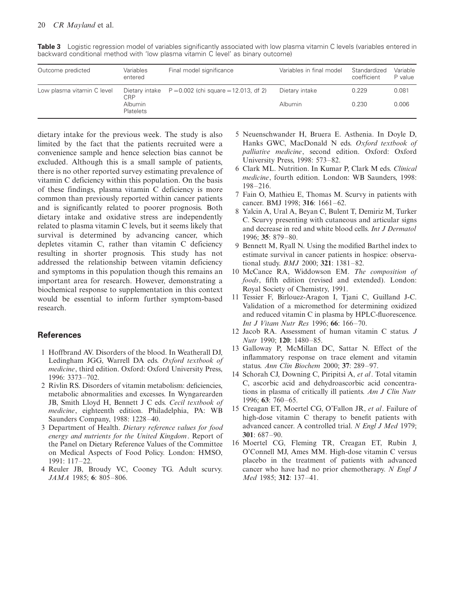| Outcome predicted          | Variables<br>entered                                                                         | Final model significance | Variables in final model | Standardized<br>coefficient | Variable<br>P value |
|----------------------------|----------------------------------------------------------------------------------------------|--------------------------|--------------------------|-----------------------------|---------------------|
| Low plasma vitamin C level | Dietary intake $P = 0.002$ (chi square = 12.013, df 2)<br>CRP<br><b>Albumin</b><br>Platelets | Dietary intake           | 0.229                    | 0.081                       |                     |
|                            |                                                                                              |                          | Albumin                  | 0.230                       | 0.006               |

Table 3 Logistic regression model of variables significantly associated with low plasma vitamin C levels (variables entered in backward conditional method with 'low plasma vitamin C level' as binary outcome)

dietary intake for the previous week. The study is also limited by the fact that the patients recruited were a convenience sample and hence selection bias cannot be excluded. Although this is a small sample of patients, there is no other reported survey estimating prevalence of vitamin C deficiency within this population. On the basis of these findings, plasma vitamin C deficiency is more common than previously reported within cancer patients and is significantly related to poorer prognosis. Both dietary intake and oxidative stress are independently related to plasma vitamin C levels, but it seems likely that survival is determined by advancing cancer, which depletes vitamin C, rather than vitamin C deficiency resulting in shorter prognosis. This study has not addressed the relationship between vitamin deficiency and symptoms in this population though this remains an important area for research. However, demonstrating a biochemical response to supplementation in this context would be essential to inform further symptom-based research.

## **References**

- 1 Hoffbrand AV. Disorders of the blood. In Weatherall DJ, Ledingham JGG, Warrell DA eds. Oxford textbook of medicine, third edition. Oxford: Oxford University Press, 1996: 3373-702.
- 2 Rivlin RS. Disorders of vitamin metabolism: deficiencies, metabolic abnormalities and excesses. In Wyngarearden JB, Smith Lloyd H, Bennett J C eds. Cecil textbook of medicine, eighteenth edition. Philadelphia, PA: WB Saunders Company, 1988: 1228-40.
- 3 Department of Health. Dietary reference values for food energy and nutrients for the United Kingdom. Report of the Panel on Dietary Reference Values of the Committee on Medical Aspects of Food Policy. London: HMSO, 1991: 117-22.
- 4 Reuler JB, Broudy VC, Cooney TG. Adult scurvy. JAMA 1985; 6: 805-806.
- 5 Neuenschwander H, Bruera E. Asthenia. In Doyle D, Hanks GWC, MacDonald N eds. Oxford textbook of *palliative medicine*, second edition. Oxford: Oxford University Press, 1998: 573-82.
- 6 Clark ML. Nutrition. In Kumar P, Clark M eds. Clinical medicine, fourth edition. London: WB Saunders, 1998:  $198 - 216$
- 7 Fain O, Mathieu E, Thomas M. Scurvy in patients with cancer. BMJ 1998; 316: 1661-62.
- 8 Yalcin A, Ural A, Beyan C, Bulent T, Demiriz M, Turker C. Scurvy presenting with cutaneous and articular signs and decrease in red and white blood cells. Int J Dermatol 1996; 35: 879-80.
- 9 Bennett M, Ryall N. Using the modified Barthel index to estimate survival in cancer patients in hospice: observational study. *BMJ* 2000; 321: 1381-82.
- 10 McCance RA, Widdowson EM. The composition of foods, fifth edition (revised and extended). London: Royal Society of Chemistry, 1991.
- 11 Tessier F, Birlouez-Aragon I, Tjani C, Guilland J-C. Validation of a micromethod for determining oxidized and reduced vitamin C in plasma by HPLC-fluorescence. Int J Vitam Nutr Res 1996; 66: 166-70.
- 12 Jacob RA. Assessment of human vitamin C status. J Nutr 1990: 120: 1480-85.
- 13 Galloway P, McMillan DC, Sattar N. Effect of the inflammatory response on trace element and vitamin status. Ann Clin Biochem 2000; 37: 289-97.
- 14 Schorah CJ, Downing C, Piripitsi A, et al. Total vitamin C, ascorbic acid and dehydroascorbic acid concentrations in plasma of critically ill patients. Am J Clin Nutr  $1996; 63; 760-65.$
- 15 Creagan ET, Moertel CG, O'Fallon JR, et al. Failure of high-dose vitamin C therapy to benefit patients with advanced cancer. A controlled trial. N Engl J Med 1979;  $301:687-90.$
- 16 Moertel CG, Fleming TR, Creagan ET, Rubin J, O'Connell MJ, Ames MM. High-dose vitamin C versus placebo in the treatment of patients with advanced cancer who have had no prior chemotherapy. N Engl J Med 1985; 312: 137-41.